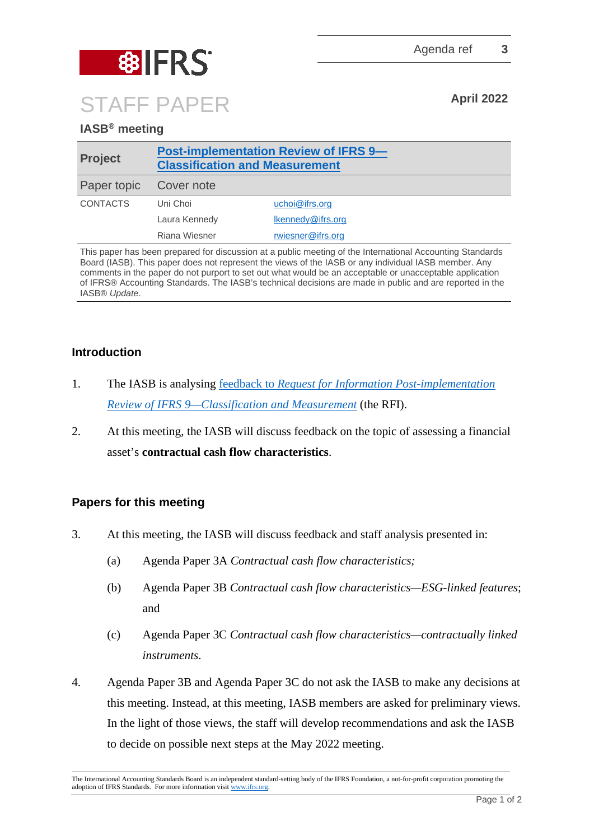

## **IASB® meeting**

| <b>Project</b>  | <b>Post-implementation Review of IFRS 9-</b><br><b>Classification and Measurement</b> |                   |
|-----------------|---------------------------------------------------------------------------------------|-------------------|
| Paper topic     | Cover note                                                                            |                   |
| <b>CONTACTS</b> | Uni Choi                                                                              | uchoi@ifrs.org    |
|                 | Laura Kennedy                                                                         | Ikennedy@ifrs.org |
|                 | Riana Wiesner                                                                         | rwiesner@ifrs.org |

This paper has been prepared for discussion at a public meeting of the International Accounting Standards Board (IASB). This paper does not represent the views of the IASB or any individual IASB member. Any comments in the paper do not purport to set out what would be an acceptable or unacceptable application of IFRS® Accounting Standards. The IASB's technical decisions are made in public and are reported in the IASB® *Update*.

## **Introduction**

- 1. The IASB is analysing feedback to *[Request for Information Post-implementation](https://www.ifrs.org/projects/work-plan/post-implementation-review-of-ifrs-9-classification-and-measurement/request-for-information-and-comment-letters/)  Review of IFRS [9—Classification and Measurement](https://www.ifrs.org/projects/work-plan/post-implementation-review-of-ifrs-9-classification-and-measurement/request-for-information-and-comment-letters/)* (the RFI).
- 2. At this meeting, the IASB will discuss feedback on the topic of assessing a financial asset's **contractual cash flow characteristics**.

## **Papers for this meeting**

- 3. At this meeting, the IASB will discuss feedback and staff analysis presented in:
	- (a) Agenda Paper 3A *Contractual cash flow characteristics;*
	- (b) Agenda Paper 3B *Contractual cash flow characteristics—ESG-linked features*; and
	- (c) Agenda Paper 3C *Contractual cash flow characteristics—contractually linked instruments*.
- 4. Agenda Paper 3B and Agenda Paper 3C do not ask the IASB to make any decisions at this meeting. Instead, at this meeting, IASB members are asked for preliminary views. In the light of those views, the staff will develop recommendations and ask the IASB to decide on possible next steps at the May 2022 meeting.

The International Accounting Standards Board is an independent standard-setting body of the IFRS Foundation, a not-for-profit corporation promoting the adoption of IFRS Standards. For more information visit [www.ifrs.org.](http://www.ifrs.org/)